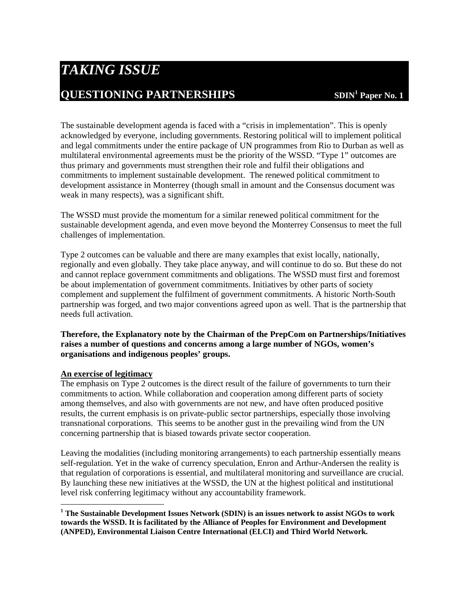# *TAKING ISSUE*  **QUESTIONING PARTNERSHIPS**

The sustainable development agenda is faced with a "crisis in implementation". This is openly acknowledged by everyone, including governments. Restoring political will to implement political and legal commitments under the entire package of UN programmes from Rio to Durban as well as multilateral environmental agreements must be the priority of the WSSD. "Type 1" outcomes are thus primary and governments must strengthen their role and fulfil their obligations and commitments to implement sustainable development. The renewed political commitment to development assistance in Monterrey (though small in amount and the Consensus document was weak in many respects), was a significant shift.

The WSSD must provide the momentum for a similar renewed political commitment for the sustainable development agenda, and even move beyond the Monterrey Consensus to meet the full challenges of implementation.

Type 2 outcomes can be valuable and there are many examples that exist locally, nationally, regionally and even globally. They take place anyway, and will continue to do so. But these do not and cannot replace government commitments and obligations. The WSSD must first and foremost be about implementation of government commitments. Initiatives by other parts of society complement and supplement the fulfilment of government commitments. A historic North-South partnership was forged, and two major conventions agreed upon as well. That is the partnership that needs full activation.

**Therefore, the Explanatory note by the Chairman of the PrepCom on Partnerships/Initiatives raises a number of questions and concerns among a large number of NGOs, women's organisations and indigenous peoples' groups.** 

## **An exercise of legitimacy**

 $\overline{a}$ 

The emphasis on Type 2 outcomes is the direct result of the failure of governments to turn their commitments to action. While collaboration and cooperation among different parts of society among themselves, and also with governments are not new, and have often produced positive results, the current emphasis is on private-public sector partnerships, especially those involving transnational corporations. This seems to be another gust in the prevailing wind from the UN concerning partnership that is biased towards private sector cooperation.

Leaving the modalities (including monitoring arrangements) to each partnership essentially means self-regulation. Yet in the wake of currency speculation, Enron and Arthur-Andersen the reality is that regulation of corporations is essential, and multilateral monitoring and surveillance are crucial. By launching these new initiatives at the WSSD, the UN at the highest political and institutional level risk conferring legitimacy without any accountability framework.

**<sup>1</sup> The Sustainable Development Issues Network (SDIN) is an issues network to assist NGOs to work towards the WSSD. It is facilitated by the Alliance of Peoples for Environment and Development (ANPED), Environmental Liaison Centre International (ELCI) and Third World Network.**